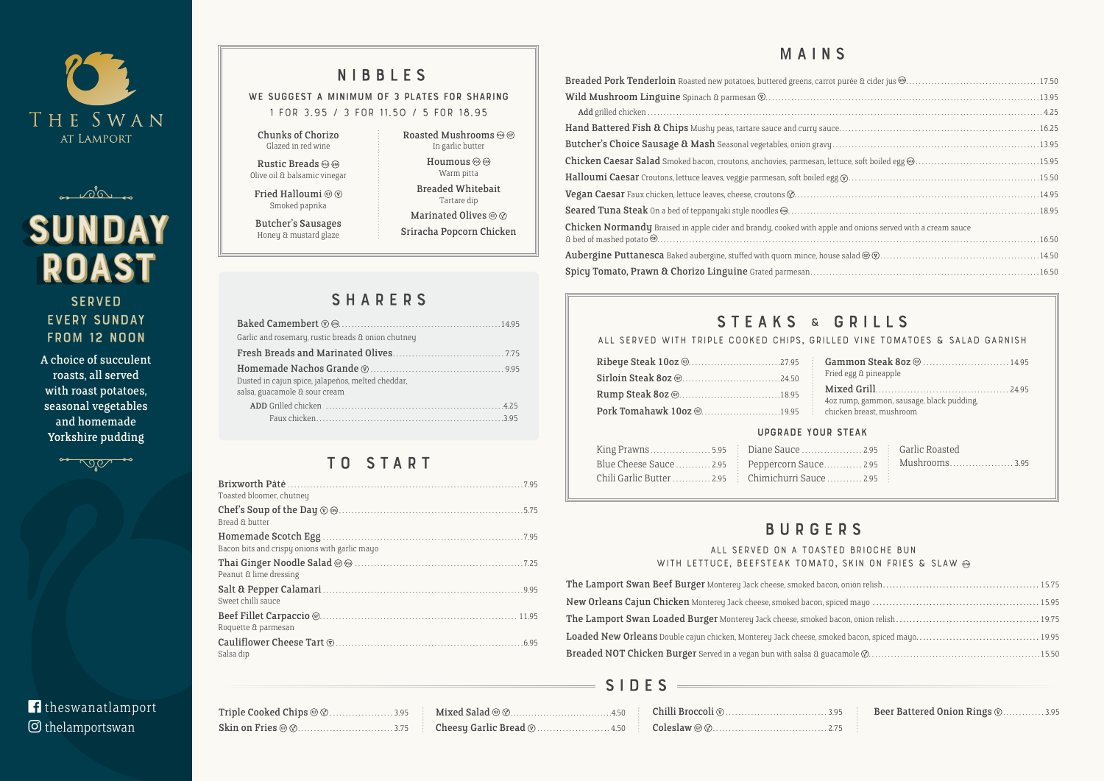



# SUNDAY **ROAST**

#### **SERVED** every Sunday FROM 12 NOON

| Triple Cooked Chips @ @3.95 |  |
|-----------------------------|--|
|                             |  |

#### Breaded Pork Tenderloin Roasted new potatoes, buttered greens, carrot Wild Mushroom Linguine Spinach & parmesan . . . . . . . . . . . . . . . . . . . . . . . . . . . . . . . . . . . . . . . . . . . . . . . . . . . . . . . . . . . . . . . . . . . . . . . . . . . . . . . . . . . . . 13.95 Add grilled chicken . . . . . . . . . . . . . . . . . . . . . . . . . . . . . . . . . . . . . . . . . . . . . . . . . . . . . . . . . . . . . . . . . . . . . . . . . . . . . . . . . . . . . . . . . . . . . . . . . . . . . . . . . . . . . . . . . . . . . . . . . . . . 4.25 Hand Battered Fish & Chips Mushy peas, tartare sauce and curry sauc Butcher's Choice Sausage & Mash Seasonal vegetables, onion gravy Chicken Caesar Salad Smoked bacon, croutons, anchovies, parmesan, let Halloumi Caesar Croutons, lettuce leaves, veggie parmesan, soft boiled eg Vegan Caesar Faux chicken, lettuce leaves, cheese, croutons  $\mathcal{O}$ ........... Seared Tuna Steak On a bed of teppanyaki style noodles  $\circledcirc$ ..............

#### WE SUGGEST A MINIMUM OF 3 PLATES FOR SHARING **1 for 3.95 / 3 for 11.50 / 5 for 18.95**

Rustic Breads (62) (FA) Olive oil & balsamic vinegar

Fried Halloumi @  $\circledcirc$ Smoked paprika

Roasted Mushrooms  $\circledcirc$   $\circledcirc$ In garlic butter Houmous  $\circledcirc$ Warm pitta Breaded Whitebait Tartare dip Marinated Olives @  $\otimes$ Sriracha Popcorn Chicken

#### **All served on a toasted brioche bun**  WITH LETTUCE, BEEFSTEAK TOMATO

The Lamport Swan Beef Burger Monterey Jack cheese, smoked bacor New Orleans Cajun Chicken Monterey Jack cheese, smoked bacon, spi The Lamport Swan Loaded Burger Monterey Jack cheese, smoked back Loaded New Orleans Double cajun chicken, Monterey Jack cheese, smol Breaded NOT Chicken Burger Served in a vegan bun with salsa & gua

### S I D E S =

| Toasted bloomer, chutney                      |  |
|-----------------------------------------------|--|
| Bread & butter                                |  |
| Bacon bits and crispy onions with garlic mayo |  |
| Peanut & lime dressing                        |  |
| Sweet chilli sauce                            |  |
| Roquette & parmesan                           |  |
| Salsa dip                                     |  |

### NIBBLES

Chunks of Chorizo Glazed in red wine

Butcher's Sausages Honey & mustard glaze

### **SHARERS**

### BURGERS

Chicken Normandy Braised in apple cider and brandy, cooked with apple & bed of mashed potato........................................................................................................................16.50

Aubergine Puttanesca Baked aubergine, stuffed with quorn mince, hous

Spicy Tomato, Prawn & Chorizo Linguine Grated parmesan.......

### STEAKS & GRILLS

### MAINS

| e and onions served with a cream sauce                                                                                                                                                                                                                                                                                                                                                                                                                                                                           |  |
|------------------------------------------------------------------------------------------------------------------------------------------------------------------------------------------------------------------------------------------------------------------------------------------------------------------------------------------------------------------------------------------------------------------------------------------------------------------------------------------------------------------|--|
|                                                                                                                                                                                                                                                                                                                                                                                                                                                                                                                  |  |
| $\mathop{\rm se}\nolimits$ salad $\mathop{\rm e}\nolimits\mathop{\rm e}\nolimits\mathop{\rm e}\nolimits\mathop{\rm e}\nolimits\mathop{\rm e}\nolimits\mathop{\rm e}\nolimits\mathop{\rm e}\nolimits\mathop{\rm e}\nolimits\mathop{\rm e}\nolimits\mathop{\rm e}\nolimits\mathop{\rm e}\nolimits\mathop{\rm e}\nolimits\mathop{\rm e}\nolimits\mathop{\rm e}\nolimits\mathop{\rm e}\nolimits\mathop{\rm e}\nolimits\mathop{\rm e}\nolimits\mathop{\rm e}\nolimits\mathop{\rm e}\nolimits\mathop{\rm e}\nolimits\$ |  |
|                                                                                                                                                                                                                                                                                                                                                                                                                                                                                                                  |  |
|                                                                                                                                                                                                                                                                                                                                                                                                                                                                                                                  |  |

| LD DRIUUIIL DUN          |
|--------------------------|
| , SKIN ON FRIES & SLAW @ |
|                          |
|                          |
|                          |
|                          |
|                          |
|                          |

|     | .95 <b>Beer Battered Onion Rings W. </b> 3.95 |  |
|-----|-----------------------------------------------|--|
| .75 |                                               |  |

#### f theswanatlamport thelamportswan

| Garlic and rosemary, rustic breads & onion chutney                                 |
|------------------------------------------------------------------------------------|
|                                                                                    |
| Dusted in cajun spice, jalapeños, melted cheddar,<br>salsa, guacamole & sour cream |
|                                                                                    |

### TO START

|                                                    | ALL SERVED WITH TRIPLE COOKED CHIPS, GRILLED VINE TOMATOES & SALAD GARNISH |
|----------------------------------------------------|----------------------------------------------------------------------------|
|                                                    | Fried egg & pineapple                                                      |
| Pork Tomahawk 10oz @19.95 chicken breast, mushroom | 4oz rump, gammon, sausage, black pudding,                                  |
|                                                    | <b>UPGRADE YOUR STEAK</b>                                                  |

|  | Blue Cheese Sauce  2.95 Peppercorn Sauce  2.95 Mushrooms3.95 |  |
|--|--------------------------------------------------------------|--|
|  | Chili Garlic Butter  2.95 Chimichurri Sauce  2.95            |  |

A choice of succulent roasts, all served with roast potatoes, seasonal vegetables and homemade Yorkshire pudding